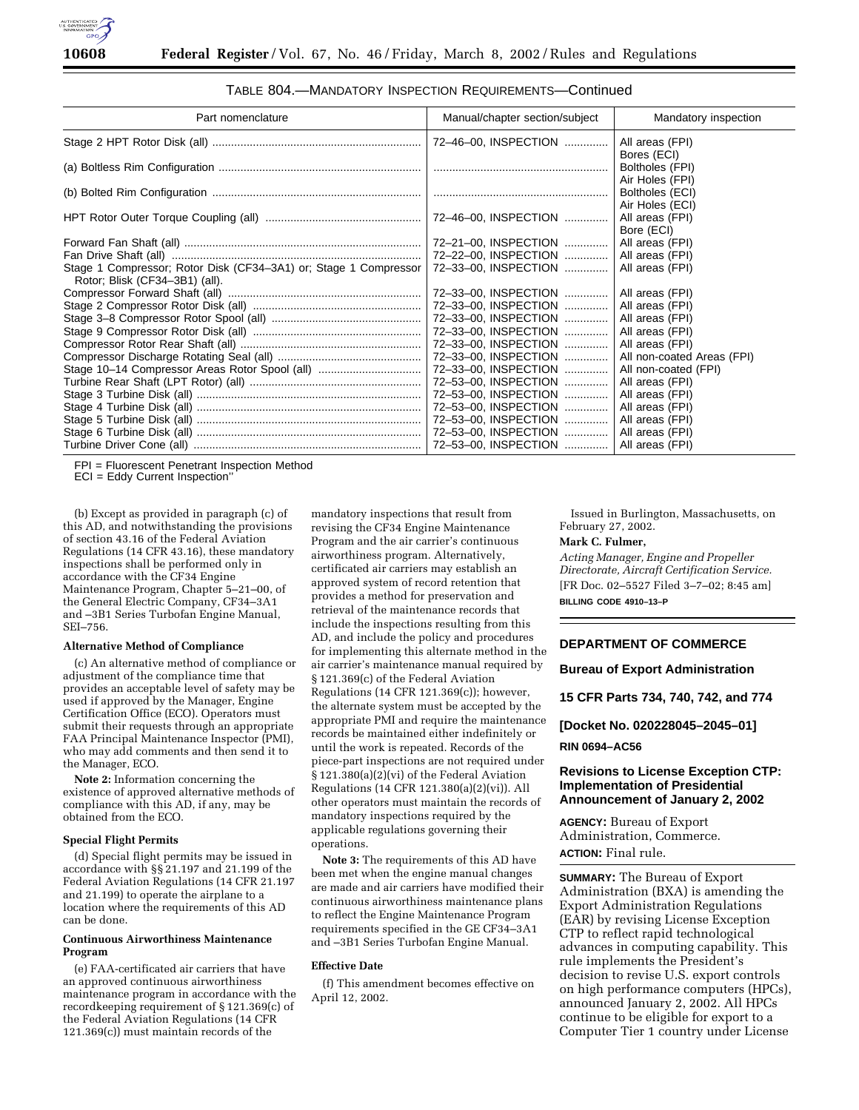

| Part nomenclature                                                                                  | Manual/chapter section/subject | Mandatory inspection           |
|----------------------------------------------------------------------------------------------------|--------------------------------|--------------------------------|
|                                                                                                    | 72-46-00, INSPECTION           | All areas (FPI)                |
|                                                                                                    |                                | Bores (ECI)<br>Boltholes (FPI) |
|                                                                                                    |                                | Air Holes (FPI)                |
|                                                                                                    |                                | Boltholes (ECI)                |
|                                                                                                    |                                | Air Holes (ECI)                |
|                                                                                                    |                                | All areas (FPI)<br>Bore (ECI)  |
|                                                                                                    | 72-21-00, INSPECTION           | All areas (FPI)                |
|                                                                                                    | 72-22-00, INSPECTION           | All areas (FPI)                |
| Stage 1 Compressor; Rotor Disk (CF34-3A1) or; Stage 1 Compressor<br>Rotor; Blisk (CF34-3B1) (all). | 72-33-00, INSPECTION           | All areas (FPI)                |
|                                                                                                    | 72-33-00, INSPECTION           | All areas (FPI)                |
|                                                                                                    | 72-33-00, INSPECTION           | All areas (FPI)                |
|                                                                                                    | 72-33-00, INSPECTION           | All areas (FPI)                |
|                                                                                                    | 72-33-00, INSPECTION           | All areas (FPI)                |
|                                                                                                    | 72-33-00, INSPECTION           | All areas (FPI)                |
|                                                                                                    | 72-33-00, INSPECTION           | All non-coated Areas (FPI)     |
| Stage 10-14 Compressor Areas Rotor Spool (all)                                                     | 72-33-00, INSPECTION           | All non-coated (FPI)           |
|                                                                                                    | 72-53-00, INSPECTION           | All areas (FPI)                |
|                                                                                                    | 72-53-00, INSPECTION           | All areas (FPI)                |
|                                                                                                    | 72-53-00, INSPECTION           | All areas (FPI)                |
|                                                                                                    | 72-53-00, INSPECTION           | All areas (FPI)                |
|                                                                                                    | 72-53-00, INSPECTION           | All areas (FPI)                |
|                                                                                                    | 72-53-00, INSPECTION           | All areas (FPI)                |

TABLE 804.—MANDATORY INSPECTION REQUIREMENTS—Continued

FPI = Fluorescent Penetrant Inspection Method

ECI = Eddy Current Inspection''

(b) Except as provided in paragraph (c) of this AD, and notwithstanding the provisions of section 43.16 of the Federal Aviation Regulations (14 CFR 43.16), these mandatory inspections shall be performed only in accordance with the CF34 Engine Maintenance Program, Chapter 5–21–00, of the General Electric Company, CF34–3A1 and –3B1 Series Turbofan Engine Manual, SEI–756.

### **Alternative Method of Compliance**

(c) An alternative method of compliance or adjustment of the compliance time that provides an acceptable level of safety may be used if approved by the Manager, Engine Certification Office (ECO). Operators must submit their requests through an appropriate FAA Principal Maintenance Inspector (PMI), who may add comments and then send it to the Manager, ECO.

**Note 2:** Information concerning the existence of approved alternative methods of compliance with this AD, if any, may be obtained from the ECO.

# **Special Flight Permits**

(d) Special flight permits may be issued in accordance with §§ 21.197 and 21.199 of the Federal Aviation Regulations (14 CFR 21.197 and 21.199) to operate the airplane to a location where the requirements of this AD can be done.

# **Continuous Airworthiness Maintenance Program**

(e) FAA-certificated air carriers that have an approved continuous airworthiness maintenance program in accordance with the recordkeeping requirement of § 121.369(c) of the Federal Aviation Regulations (14 CFR 121.369(c)) must maintain records of the

mandatory inspections that result from revising the CF34 Engine Maintenance Program and the air carrier's continuous airworthiness program. Alternatively, certificated air carriers may establish an approved system of record retention that provides a method for preservation and retrieval of the maintenance records that include the inspections resulting from this AD, and include the policy and procedures for implementing this alternate method in the air carrier's maintenance manual required by § 121.369(c) of the Federal Aviation Regulations (14 CFR 121.369(c)); however, the alternate system must be accepted by the appropriate PMI and require the maintenance records be maintained either indefinitely or until the work is repeated. Records of the piece-part inspections are not required under § 121.380(a)(2)(vi) of the Federal Aviation Regulations (14 CFR 121.380(a)(2)(vi)). All other operators must maintain the records of mandatory inspections required by the applicable regulations governing their operations.

**Note 3:** The requirements of this AD have been met when the engine manual changes are made and air carriers have modified their continuous airworthiness maintenance plans to reflect the Engine Maintenance Program requirements specified in the GE CF34–3A1 and –3B1 Series Turbofan Engine Manual.

#### **Effective Date**

(f) This amendment becomes effective on April 12, 2002.

Issued in Burlington, Massachusetts, on February 27, 2002.

#### **Mark C. Fulmer,**

*Acting Manager, Engine and Propeller Directorate, Aircraft Certification Service.* [FR Doc. 02–5527 Filed 3–7–02; 8:45 am] **BILLING CODE 4910–13–P**

### **DEPARTMENT OF COMMERCE**

**Bureau of Export Administration**

**15 CFR Parts 734, 740, 742, and 774**

**[Docket No. 020228045–2045–01] RIN 0694–AC56**

# **Revisions to License Exception CTP: Implementation of Presidential Announcement of January 2, 2002**

**AGENCY:** Bureau of Export Administration, Commerce. **ACTION:** Final rule.

**SUMMARY:** The Bureau of Export Administration (BXA) is amending the Export Administration Regulations (EAR) by revising License Exception CTP to reflect rapid technological advances in computing capability. This rule implements the President's decision to revise U.S. export controls on high performance computers (HPCs), announced January 2, 2002. All HPCs continue to be eligible for export to a Computer Tier 1 country under License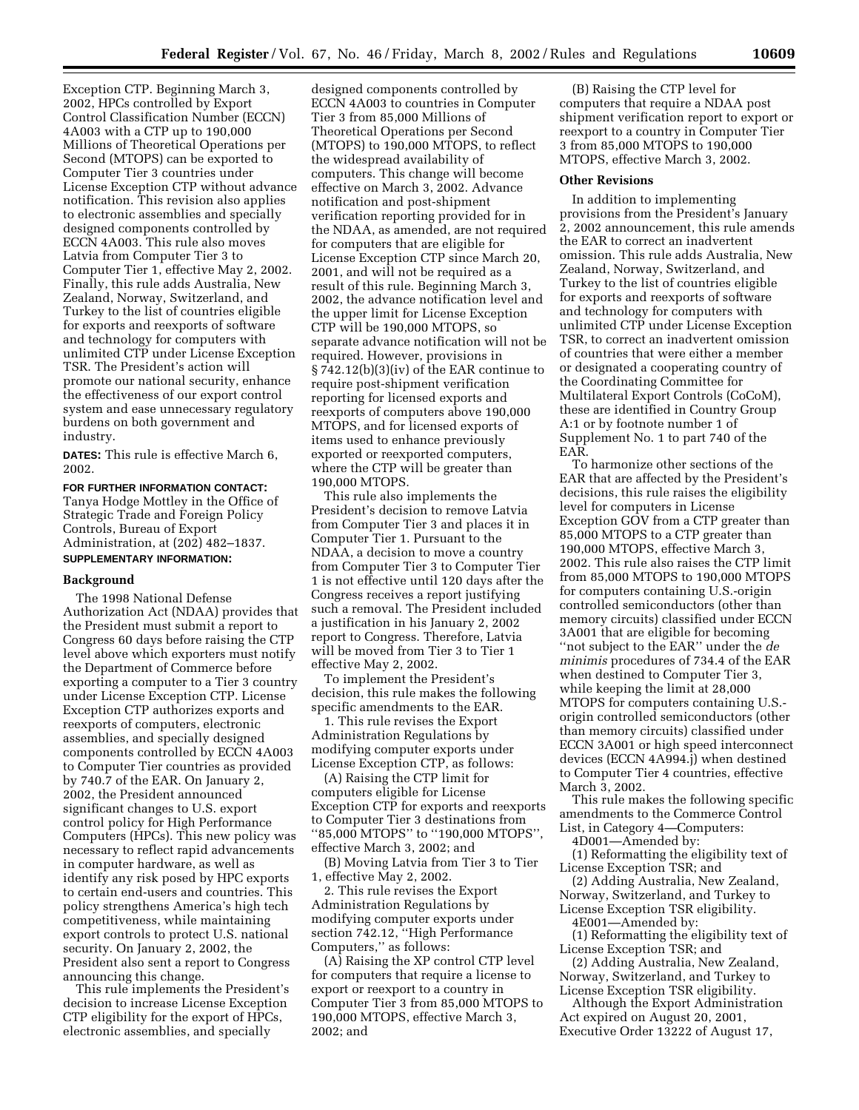Exception CTP. Beginning March 3, 2002, HPCs controlled by Export Control Classification Number (ECCN) 4A003 with a CTP up to 190,000 Millions of Theoretical Operations per Second (MTOPS) can be exported to Computer Tier 3 countries under License Exception CTP without advance notification. This revision also applies to electronic assemblies and specially designed components controlled by ECCN 4A003. This rule also moves Latvia from Computer Tier 3 to Computer Tier 1, effective May 2, 2002. Finally, this rule adds Australia, New Zealand, Norway, Switzerland, and Turkey to the list of countries eligible for exports and reexports of software and technology for computers with unlimited CTP under License Exception TSR. The President's action will promote our national security, enhance the effectiveness of our export control system and ease unnecessary regulatory burdens on both government and industry.

**DATES:** This rule is effective March 6, 2002.

# **FOR FURTHER INFORMATION CONTACT:** Tanya Hodge Mottley in the Office of Strategic Trade and Foreign Policy Controls, Bureau of Export Administration, at (202) 482–1837. **SUPPLEMENTARY INFORMATION:**

### **Background**

The 1998 National Defense Authorization Act (NDAA) provides that the President must submit a report to Congress 60 days before raising the CTP level above which exporters must notify the Department of Commerce before exporting a computer to a Tier 3 country under License Exception CTP. License Exception CTP authorizes exports and reexports of computers, electronic assemblies, and specially designed components controlled by ECCN 4A003 to Computer Tier countries as provided by 740.7 of the EAR. On January 2, 2002, the President announced significant changes to U.S. export control policy for High Performance Computers (HPCs). This new policy was necessary to reflect rapid advancements in computer hardware, as well as identify any risk posed by HPC exports to certain end-users and countries. This policy strengthens America's high tech competitiveness, while maintaining export controls to protect U.S. national security. On January 2, 2002, the President also sent a report to Congress announcing this change.

This rule implements the President's decision to increase License Exception CTP eligibility for the export of HPCs, electronic assemblies, and specially

designed components controlled by ECCN 4A003 to countries in Computer Tier 3 from 85,000 Millions of Theoretical Operations per Second (MTOPS) to 190,000 MTOPS, to reflect the widespread availability of computers. This change will become effective on March 3, 2002. Advance notification and post-shipment verification reporting provided for in the NDAA, as amended, are not required for computers that are eligible for License Exception CTP since March 20, 2001, and will not be required as a result of this rule. Beginning March 3, 2002, the advance notification level and the upper limit for License Exception CTP will be 190,000 MTOPS, so separate advance notification will not be required. However, provisions in § 742.12(b)(3)(iv) of the EAR continue to require post-shipment verification reporting for licensed exports and reexports of computers above 190,000 MTOPS, and for licensed exports of items used to enhance previously exported or reexported computers, where the CTP will be greater than 190,000 MTOPS.

This rule also implements the President's decision to remove Latvia from Computer Tier 3 and places it in Computer Tier 1. Pursuant to the NDAA, a decision to move a country from Computer Tier 3 to Computer Tier 1 is not effective until 120 days after the Congress receives a report justifying such a removal. The President included a justification in his January 2, 2002 report to Congress. Therefore, Latvia will be moved from Tier 3 to Tier 1 effective May 2, 2002.

To implement the President's decision, this rule makes the following specific amendments to the EAR.

1. This rule revises the Export Administration Regulations by modifying computer exports under License Exception CTP, as follows:

(A) Raising the CTP limit for computers eligible for License Exception CTP for exports and reexports to Computer Tier 3 destinations from ''85,000 MTOPS'' to ''190,000 MTOPS'', effective March 3, 2002; and

(B) Moving Latvia from Tier 3 to Tier 1, effective May 2, 2002.

2. This rule revises the Export Administration Regulations by modifying computer exports under section 742.12, ''High Performance Computers,'' as follows:

(A) Raising the XP control CTP level for computers that require a license to export or reexport to a country in Computer Tier 3 from 85,000 MTOPS to 190,000 MTOPS, effective March 3, 2002; and

(B) Raising the CTP level for computers that require a NDAA post shipment verification report to export or reexport to a country in Computer Tier 3 from 85,000 MTOPS to 190,000 MTOPS, effective March 3, 2002.

#### **Other Revisions**

In addition to implementing provisions from the President's January 2, 2002 announcement, this rule amends the EAR to correct an inadvertent omission. This rule adds Australia, New Zealand, Norway, Switzerland, and Turkey to the list of countries eligible for exports and reexports of software and technology for computers with unlimited CTP under License Exception TSR, to correct an inadvertent omission of countries that were either a member or designated a cooperating country of the Coordinating Committee for Multilateral Export Controls (CoCoM), these are identified in Country Group A:1 or by footnote number 1 of Supplement No. 1 to part 740 of the EAR.

To harmonize other sections of the EAR that are affected by the President's decisions, this rule raises the eligibility level for computers in License Exception GOV from a CTP greater than 85,000 MTOPS to a CTP greater than 190,000 MTOPS, effective March 3, 2002. This rule also raises the CTP limit from 85,000 MTOPS to 190,000 MTOPS for computers containing U.S.-origin controlled semiconductors (other than memory circuits) classified under ECCN 3A001 that are eligible for becoming ''not subject to the EAR'' under the *de minimis* procedures of 734.4 of the EAR when destined to Computer Tier 3, while keeping the limit at 28,000 MTOPS for computers containing U.S. origin controlled semiconductors (other than memory circuits) classified under ECCN 3A001 or high speed interconnect devices (ECCN 4A994.j) when destined to Computer Tier 4 countries, effective March 3, 2002.

This rule makes the following specific amendments to the Commerce Control List, in Category 4—Computers:

4D001—Amended by:

(1) Reformatting the eligibility text of License Exception TSR; and

(2) Adding Australia, New Zealand, Norway, Switzerland, and Turkey to License Exception TSR eligibility.

4E001—Amended by:

(1) Reformatting the eligibility text of License Exception TSR; and

(2) Adding Australia, New Zealand, Norway, Switzerland, and Turkey to License Exception TSR eligibility.

Although the Export Administration Act expired on August 20, 2001, Executive Order 13222 of August 17,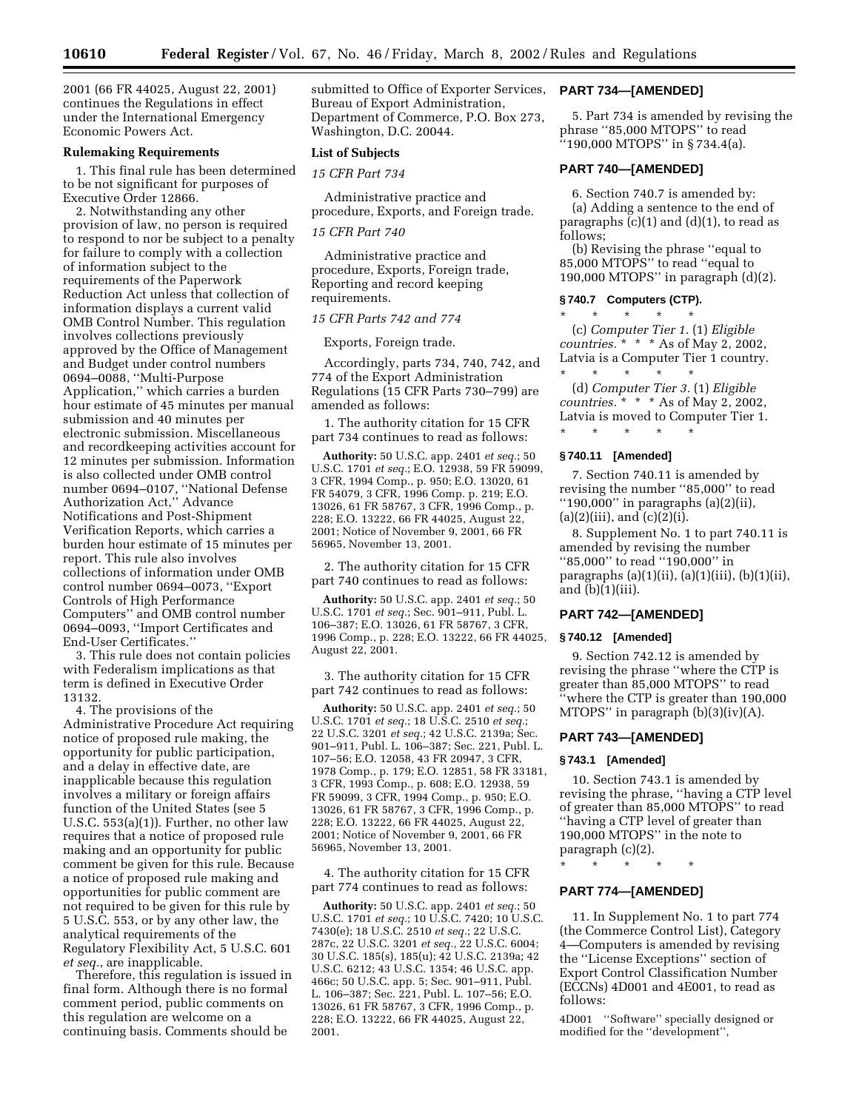2001 (66 FR 44025, August 22, 2001) continues the Regulations in effect under the International Emergency Economic Powers Act.

### **Rulemaking Requirements**

1. This final rule has been determined to be not significant for purposes of Executive Order 12866.

2. Notwithstanding any other provision of law, no person is required to respond to nor be subject to a penalty for failure to comply with a collection of information subject to the requirements of the Paperwork Reduction Act unless that collection of information displays a current valid OMB Control Number. This regulation involves collections previously approved by the Office of Management and Budget under control numbers 0694–0088, ''Multi-Purpose Application,'' which carries a burden hour estimate of 45 minutes per manual submission and 40 minutes per electronic submission. Miscellaneous and recordkeeping activities account for 12 minutes per submission. Information is also collected under OMB control number 0694–0107, ''National Defense Authorization Act,'' Advance Notifications and Post-Shipment Verification Reports, which carries a burden hour estimate of 15 minutes per report. This rule also involves collections of information under OMB control number 0694–0073, ''Export Controls of High Performance Computers'' and OMB control number 0694–0093, ''Import Certificates and End-User Certificates.''

3. This rule does not contain policies with Federalism implications as that term is defined in Executive Order 13132.

4. The provisions of the Administrative Procedure Act requiring notice of proposed rule making, the opportunity for public participation, and a delay in effective date, are inapplicable because this regulation involves a military or foreign affairs function of the United States (see 5 U.S.C. 553(a)(1)). Further, no other law requires that a notice of proposed rule making and an opportunity for public comment be given for this rule. Because a notice of proposed rule making and opportunities for public comment are not required to be given for this rule by 5 U.S.C. 553, or by any other law, the analytical requirements of the Regulatory Flexibility Act, 5 U.S.C. 601 *et seq.*, are inapplicable.

Therefore, this regulation is issued in final form. Although there is no formal comment period, public comments on this regulation are welcome on a continuing basis. Comments should be

submitted to Office of Exporter Services, Bureau of Export Administration, Department of Commerce, P.O. Box 273, Washington, D.C. 20044.

#### **List of Subjects**

*15 CFR Part 734*

Administrative practice and procedure, Exports, and Foreign trade.

# *15 CFR Part 740*

Administrative practice and procedure, Exports, Foreign trade, Reporting and record keeping requirements.

#### *15 CFR Parts 742 and 774*

Exports, Foreign trade.

Accordingly, parts 734, 740, 742, and 774 of the Export Administration Regulations (15 CFR Parts 730–799) are amended as follows:

1. The authority citation for 15 CFR part 734 continues to read as follows:

**Authority:** 50 U.S.C. app. 2401 *et seq.*; 50 U.S.C. 1701 *et seq.*; E.O. 12938, 59 FR 59099, 3 CFR, 1994 Comp., p. 950; E.O. 13020, 61 FR 54079, 3 CFR, 1996 Comp. p. 219; E.O. 13026, 61 FR 58767, 3 CFR, 1996 Comp., p. 228; E.O. 13222, 66 FR 44025, August 22, 2001; Notice of November 9, 2001, 66 FR 56965, November 13, 2001.

2. The authority citation for 15 CFR part 740 continues to read as follows:

**Authority:** 50 U.S.C. app. 2401 *et seq.*; 50 U.S.C. 1701 *et seq.*; Sec. 901–911, Publ. L. 106–387; E.O. 13026, 61 FR 58767, 3 CFR, 1996 Comp., p. 228; E.O. 13222, 66 FR 44025, August 22, 2001.

3. The authority citation for 15 CFR part 742 continues to read as follows:

**Authority:** 50 U.S.C. app. 2401 *et seq.*; 50 U.S.C. 1701 *et seq.*; 18 U.S.C. 2510 *et seq.*; 22 U.S.C. 3201 *et seq.*; 42 U.S.C. 2139a; Sec. 901–911, Publ. L. 106–387; Sec. 221, Publ. L. 107–56; E.O. 12058, 43 FR 20947, 3 CFR, 1978 Comp., p. 179; E.O. 12851, 58 FR 33181, 3 CFR, 1993 Comp., p. 608; E.O. 12938, 59 FR 59099, 3 CFR, 1994 Comp., p. 950; E.O. 13026, 61 FR 58767, 3 CFR, 1996 Comp., p. 228; E.O. 13222, 66 FR 44025, August 22, 2001; Notice of November 9, 2001, 66 FR 56965, November 13, 2001.

4. The authority citation for 15 CFR part 774 continues to read as follows:

**Authority:** 50 U.S.C. app. 2401 *et seq.*; 50 U.S.C. 1701 *et seq.*; 10 U.S.C. 7420; 10 U.S.C. 7430(e); 18 U.S.C. 2510 *et seq.*; 22 U.S.C. 287c, 22 U.S.C. 3201 *et seq.*, 22 U.S.C. 6004; 30 U.S.C. 185(s), 185(u); 42 U.S.C. 2139a; 42 U.S.C. 6212; 43 U.S.C. 1354; 46 U.S.C. app. 466c; 50 U.S.C. app. 5; Sec. 901–911, Publ. L. 106–387; Sec. 221, Publ. L. 107–56; E.O. 13026, 61 FR 58767, 3 CFR, 1996 Comp., p. 228; E.O. 13222, 66 FR 44025, August 22, 2001.

### **PART 734—[AMENDED]**

5. Part 734 is amended by revising the phrase ''85,000 MTOPS'' to read ''190,000 MTOPS'' in § 734.4(a).

# **PART 740—[AMENDED]**

6. Section 740.7 is amended by: (a) Adding a sentence to the end of paragraphs (c)(1) and (d)(1), to read as follows;

(b) Revising the phrase ''equal to 85,000 MTOPS'' to read ''equal to 190,000 MTOPS'' in paragraph (d)(2).

# **§ 740.7 Computers (CTP).**

\* \* \* \* \* (c) *Computer Tier 1.* (1) *Eligible countries.* \* \* \* As of May 2, 2002, Latvia is a Computer Tier 1 country.

\* \* \* \* \* (d) *Computer Tier 3.* (1) *Eligible countries.* \* \* \* As of May 2, 2002, Latvia is moved to Computer Tier 1. \* \* \* \* \*

## **§ 740.11 [Amended]**

7. Section 740.11 is amended by revising the number ''85,000'' to read ''190,000'' in paragraphs (a)(2)(ii),  $(a)(2)(iii)$ , and  $(c)(2)(i)$ .

8. Supplement No. 1 to part 740.11 is amended by revising the number ''85,000'' to read ''190,000'' in paragraphs (a)(1)(ii), (a)(1)(iii), (b)(1)(ii), and (b)(1)(iii).

# **PART 742—[AMENDED]**

### **§ 740.12 [Amended]**

9. Section 742.12 is amended by revising the phrase ''where the CTP is greater than 85,000 MTOPS'' to read ''where the CTP is greater than 190,000 MTOPS'' in paragraph (b)(3)(iv)(A).

# **PART 743—[AMENDED]**

# **§ 743.1 [Amended]**

10. Section 743.1 is amended by revising the phrase, ''having a CTP level of greater than 85,000 MTOPS" to read ''having a CTP level of greater than 190,000 MTOPS'' in the note to paragraph (c)(2).

# \* \* \* \* \* **PART 774—[AMENDED]**

11. In Supplement No. 1 to part 774 (the Commerce Control List), Category 4—Computers is amended by revising the ''License Exceptions'' section of Export Control Classification Number (ECCNs) 4D001 and 4E001, to read as follows:

4D001 ''Software'' specially designed or modified for the ''development'',